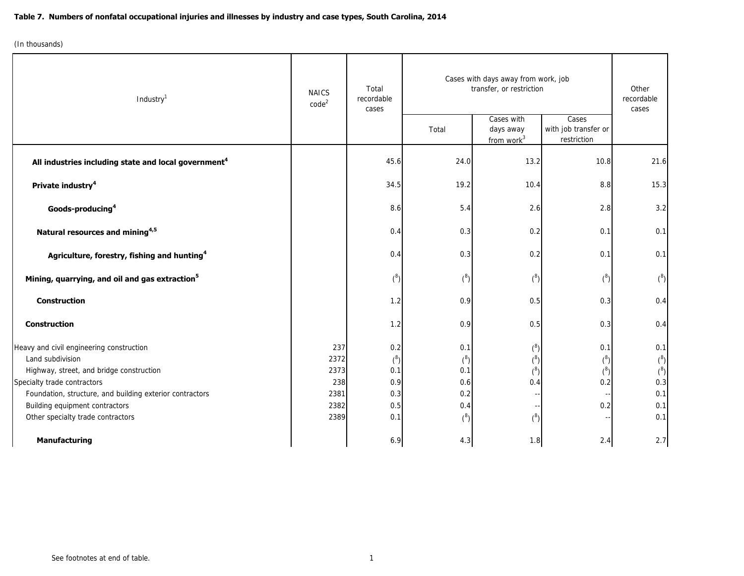| Industry <sup>1</sup>                                               | <b>NAICS</b>      | Total<br>recordable<br>cases | Cases with days away from work, job<br>transfer, or restriction |                                                   |                                              | Other<br>recordable |
|---------------------------------------------------------------------|-------------------|------------------------------|-----------------------------------------------------------------|---------------------------------------------------|----------------------------------------------|---------------------|
|                                                                     | code <sup>2</sup> |                              | Total                                                           | Cases with<br>days away<br>from work <sup>3</sup> | Cases<br>with job transfer or<br>restriction | cases               |
| All industries including state and local government <sup>4</sup>    |                   | 45.6                         | 24.0                                                            | 13.2                                              | 10.8                                         | 21.6                |
| Private industry <sup>4</sup>                                       |                   | 34.5                         | 19.2                                                            | 10.4                                              | 8.8                                          | 15.3                |
| Goods-producing <sup>4</sup>                                        |                   | 8.6                          | 5.4                                                             | 2.6                                               | 2.8                                          | 3.2                 |
| Natural resources and mining <sup>4,5</sup>                         |                   | 0.4                          | 0.3                                                             | 0.2                                               | 0.1                                          | 0.1                 |
| Agriculture, forestry, fishing and hunting <sup>4</sup>             |                   | 0.4                          | 0.3                                                             | 0.2                                               | 0.1                                          | 0.1                 |
| Mining, quarrying, and oil and gas extraction <sup>5</sup>          |                   | ${8 \choose 0}$              | $(\overline{8})$                                                | ${8 \choose 0}$                                   | $(^8)$                                       | ${^{8}}$            |
| <b>Construction</b>                                                 |                   | 1.2                          | 0.9                                                             | 0.5                                               | 0.3                                          | 0.4                 |
| <b>Construction</b>                                                 |                   | 1.2                          | 0.9                                                             | 0.5                                               | 0.3                                          | 0.4                 |
| Heavy and civil engineering construction                            | 237               | 0.2                          | 0.1                                                             | ${^{8}}$                                          | 0.1                                          | 0.1                 |
| Land subdivision                                                    | 2372              | ${8 \choose 0}$              | ${8 \choose 0}$                                                 | ${^{8}}$                                          | ${8 \choose 0}$                              | (8)                 |
| Highway, street, and bridge construction                            | 2373              | 0.1                          | 0.1                                                             | ${^{8}}$                                          | ${^{8}}$                                     | (8)                 |
| Specialty trade contractors                                         | 238               | 0.9                          | 0.6                                                             | 0.4                                               | 0.2                                          | 0.3                 |
| Foundation, structure, and building exterior contractors            | 2381              | 0.3                          | 0.2                                                             |                                                   |                                              | 0.1                 |
| Building equipment contractors<br>Other specialty trade contractors | 2382<br>2389      | 0.5<br>0.1                   | 0.4<br>$(^8)$                                                   | ${^{8}}$                                          | 0.2                                          | 0.1<br>0.1          |
| <b>Manufacturing</b>                                                |                   | 6.9                          | 4.3                                                             | 1.8                                               | 2.4                                          | 2.7                 |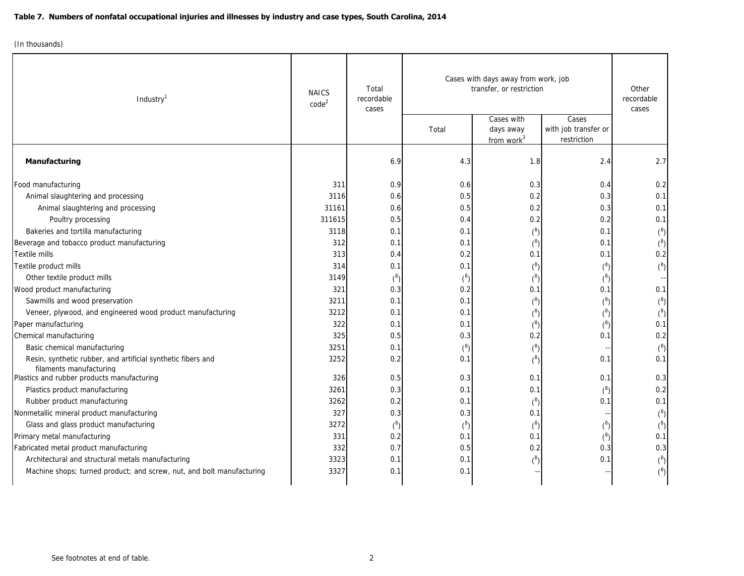| Industry <sup>1</sup>                                                                   | <b>NAICS</b><br>code <sup>2</sup> | Total<br>recordable<br>cases | Cases with days away from work, job<br>transfer, or restriction |                                                   |                                              | Other<br>recordable<br>cases |
|-----------------------------------------------------------------------------------------|-----------------------------------|------------------------------|-----------------------------------------------------------------|---------------------------------------------------|----------------------------------------------|------------------------------|
|                                                                                         |                                   |                              | Total                                                           | Cases with<br>days away<br>from work <sup>3</sup> | Cases<br>with job transfer or<br>restriction |                              |
| <b>Manufacturing</b>                                                                    |                                   | 6.9                          | 4.3                                                             | 1.8                                               | 2.4                                          | 2.7                          |
| Food manufacturing                                                                      | 311                               | 0.9                          | 0.6                                                             | 0.3                                               | 0.4                                          | 0.2                          |
| Animal slaughtering and processing                                                      | 3116                              | 0.6                          | 0.5                                                             | 0.2                                               | 0.3                                          | 0.1                          |
| Animal slaughtering and processing                                                      | 31161                             | 0.6                          | 0.5                                                             | 0.2                                               | 0.3                                          | 0.1                          |
| Poultry processing                                                                      | 311615                            | 0.5                          | 0.4                                                             | 0.2                                               | 0.2                                          | 0.1                          |
| Bakeries and tortilla manufacturing                                                     | 3118                              | 0.1                          | 0.1                                                             | ${8 \choose 0}$                                   | 0.1                                          |                              |
| Beverage and tobacco product manufacturing                                              | 312                               | 0.1                          | 0.1                                                             | ${8 \choose 0}$                                   | 0.1                                          |                              |
| Textile mills                                                                           | 313                               | 0.4                          | 0.2                                                             | 0.1                                               | 0.1                                          | 0.2                          |
| Textile product mills                                                                   | 314                               | 0.1                          | 0.1                                                             | ${8 \choose 0}$                                   | ${^{8}}$                                     | ${^{8}}$                     |
| Other textile product mills                                                             | 3149                              | $\binom{8}{ }$               | ${8 \choose 0}$                                                 | ${8 \choose 0}$                                   | ${8 \choose 0}$                              |                              |
| Wood product manufacturing                                                              | 321                               | 0.3                          | 0.2                                                             | 0.1                                               | 0.1                                          | 0.1                          |
| Sawmills and wood preservation                                                          | 3211                              | 0.1                          | 0.1                                                             | ${8 \choose 0}$                                   | ${^{8}}$                                     | ${8 \choose 0}$              |
| Veneer, plywood, and engineered wood product manufacturing                              | 3212                              | 0.1                          | 0.1                                                             | ${8 \choose 0}$                                   | ${8 \choose 0}$                              | $\binom{8}{ }$               |
| Paper manufacturing                                                                     | 322                               | 0.1                          | 0.1                                                             | ${8 \choose 0}$                                   | ${^{8}}$                                     | 0.1                          |
| Chemical manufacturing                                                                  | 325                               | 0.5                          | 0.3                                                             | 0.2                                               | 0.1                                          | 0.2                          |
| Basic chemical manufacturing                                                            | 3251                              | 0.1                          | ${8}$                                                           | ${8 \choose 0}$                                   |                                              | ${8 \choose 0}$              |
| Resin, synthetic rubber, and artificial synthetic fibers and<br>filaments manufacturing | 3252                              | 0.2                          | 0.1                                                             | ${8 \choose 0}$                                   | 0.1                                          | 0.1                          |
| Plastics and rubber products manufacturing                                              | 326                               | 0.5                          | 0.3                                                             | 0.1                                               | 0.1                                          | 0.3                          |
| Plastics product manufacturing                                                          | 3261                              | 0.3                          | 0.1                                                             | 0.1                                               | ${^{8}}$                                     | 0.2                          |
| Rubber product manufacturing                                                            | 3262                              | 0.2                          | 0.1                                                             | ${8 \choose 0}$                                   | 0.1                                          | 0.1                          |
| Nonmetallic mineral product manufacturing                                               | 327                               | 0.3                          | 0.3                                                             | 0.1                                               |                                              |                              |
| Glass and glass product manufacturing                                                   | 3272                              | $\binom{8}{ }$               | ${8}$                                                           | ${8 \choose 0}$                                   | ${^{8}}$                                     | $\binom{8}{ }$               |
| Primary metal manufacturing                                                             | 331                               | 0.2                          | 0.1                                                             | 0.1                                               | ${8 \choose 0}$                              | 0.1                          |
| Fabricated metal product manufacturing                                                  | 332                               | 0.7                          | 0.5                                                             | 0.2                                               | 0.3                                          | 0.3                          |
| Architectural and structural metals manufacturing                                       | 3323                              | 0.1                          | 0.1                                                             | ${8}$                                             | 0.1                                          |                              |
| Machine shops; turned product; and screw, nut, and bolt manufacturing                   | 3327                              | 0.1                          | 0.1                                                             |                                                   |                                              | (8)                          |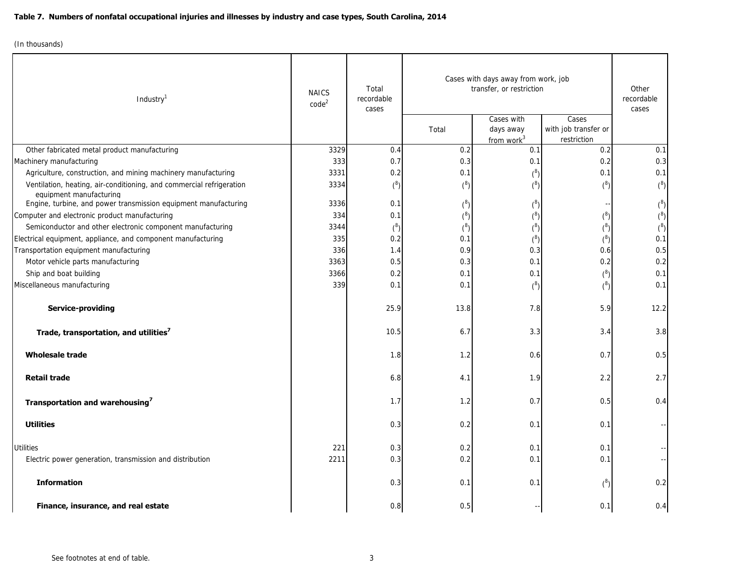| Industry <sup>1</sup>                                                   | <b>NAICS</b><br>code <sup>2</sup> | Total<br>recordable<br>cases | Cases with days away from work, job<br>transfer, or restriction |                               |                      | Other<br>recordable<br>cases |
|-------------------------------------------------------------------------|-----------------------------------|------------------------------|-----------------------------------------------------------------|-------------------------------|----------------------|------------------------------|
|                                                                         |                                   |                              |                                                                 | Cases with                    | Cases                |                              |
|                                                                         |                                   |                              | Total                                                           | days away                     | with job transfer or |                              |
|                                                                         | 3329                              | 0.4                          | 0.2                                                             | from work <sup>3</sup><br>0.1 | restriction<br>0.2   | 0.1                          |
| Other fabricated metal product manufacturing<br>Machinery manufacturing | 333                               | 0.7                          | 0.3                                                             | 0.1                           | 0.2                  | 0.3                          |
| Agriculture, construction, and mining machinery manufacturing           | 3331                              |                              | 0.1                                                             |                               | 0.1                  | 0.1                          |
| Ventilation, heating, air-conditioning, and commercial refrigeration    | 3334                              | 0.2                          |                                                                 | ${^{8}}$                      |                      |                              |
| equipment manufacturing                                                 |                                   | $\binom{8}{ }$               | $\binom{8}{ }$                                                  | ${8 \choose 0}$               | ${8 \choose 0}$      | ${^{8}}$                     |
| Engine, turbine, and power transmission equipment manufacturing         | 3336                              | 0.1                          |                                                                 | ${8 \choose 0}$               |                      | ${^{8}}$                     |
| Computer and electronic product manufacturing                           | 334                               | 0.1                          | ${8 \choose 0}$                                                 | ${8 \choose 0}$               | ${^{8}}$             | ${8 \choose 0}$              |
| Semiconductor and other electronic component manufacturing              | 3344                              | ${8 \choose 0}$              | ${^{8}}$                                                        | ${8 \choose 0}$               | ${8 \choose 0}$      | ${8 \choose 0}$              |
| Electrical equipment, appliance, and component manufacturing            | 335                               | 0.2                          | 0.1                                                             | ${8 \choose 0}$               | ${8 \choose 0}$      | 0.1                          |
| Transportation equipment manufacturing                                  | 336                               | 1.4                          | 0.9                                                             | 0.3                           | 0.6                  | 0.5                          |
| Motor vehicle parts manufacturing                                       | 3363                              | 0.5                          | 0.3                                                             | 0.1                           | 0.2                  | 0.2                          |
| Ship and boat building                                                  | 3366                              | 0.2                          | 0.1                                                             | 0.1                           | ${^{8}}$             | 0.1                          |
| Miscellaneous manufacturing                                             | 339                               | 0.1                          | 0.1                                                             | ${8 \choose 0}$               | ${8 \choose 0}$      | 0.1                          |
| Service-providing                                                       |                                   | 25.9                         | 13.8                                                            | 7.8                           | 5.9                  | 12.2                         |
| Trade, transportation, and utilities <sup>7</sup>                       |                                   | 10.5                         | 6.7                                                             | 3.3                           | 3.4                  | 3.8                          |
| <b>Wholesale trade</b>                                                  |                                   | 1.8                          | 1.2                                                             | 0.6                           | 0.7                  | 0.5                          |
| <b>Retail trade</b>                                                     |                                   | 6.8                          | 4.1                                                             | 1.9                           | 2.2                  | 2.7                          |
| Transportation and warehousing <sup>7</sup>                             |                                   | 1.7                          | 1.2                                                             | 0.7                           | 0.5                  | 0.4                          |
| <b>Utilities</b>                                                        |                                   | 0.3                          | 0.2                                                             | 0.1                           | 0.1                  |                              |
| <b>Utilities</b>                                                        | 221                               | 0.3                          | 0.2                                                             | 0.1                           | 0.1                  |                              |
| Electric power generation, transmission and distribution                | 2211                              | 0.3                          | 0.2                                                             | 0.1                           | 0.1                  |                              |
| <b>Information</b>                                                      |                                   | 0.3                          | 0.1                                                             | 0.1                           | ${^{8}}$             | 0.2                          |
| Finance, insurance, and real estate                                     |                                   | 0.8                          | 0.5                                                             |                               | 0.1                  | 0.4                          |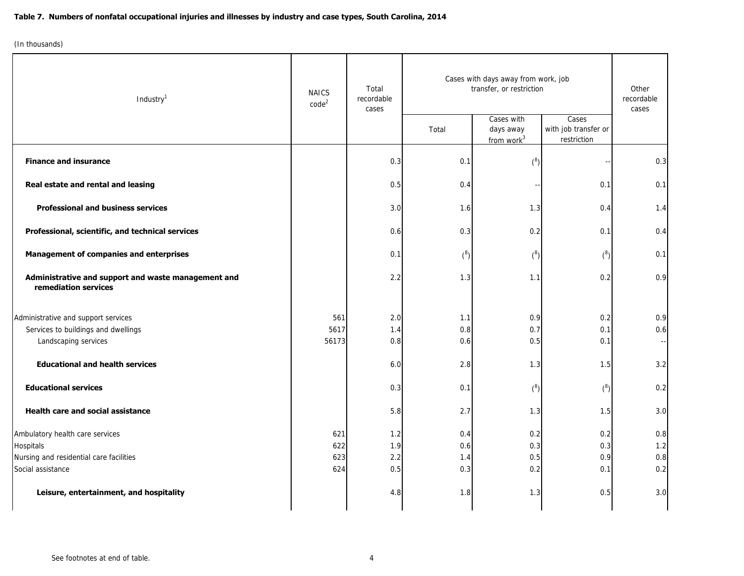| Industry <sup>1</sup>                                                       | <b>NAICS</b><br>code <sup>2</sup> | Total<br>recordable<br>cases | Cases with days away from work, job<br>transfer, or restriction |                                                   |                                              | Other<br>recordable<br>cases |
|-----------------------------------------------------------------------------|-----------------------------------|------------------------------|-----------------------------------------------------------------|---------------------------------------------------|----------------------------------------------|------------------------------|
|                                                                             |                                   |                              | Total                                                           | Cases with<br>days away<br>from work <sup>3</sup> | Cases<br>with job transfer or<br>restriction |                              |
| <b>Finance and insurance</b>                                                |                                   | 0.3                          | 0.1                                                             | ${8 \choose 0}$                                   |                                              | 0.3                          |
| Real estate and rental and leasing                                          |                                   | 0.5                          | 0.4                                                             |                                                   | 0.1                                          | 0.1                          |
| <b>Professional and business services</b>                                   |                                   | 3.0                          | 1.6                                                             | 1.3                                               | 0.4                                          | 1.4                          |
| Professional, scientific, and technical services                            |                                   | 0.6                          | 0.3                                                             | 0.2                                               | 0.1                                          | 0.4                          |
| <b>Management of companies and enterprises</b>                              |                                   | 0.1                          | $\binom{8}{ }$                                                  | ${8 \choose 0}$                                   | ${^{8}}$                                     | 0.1                          |
| Administrative and support and waste management and<br>remediation services |                                   | 2.2                          | 1.3                                                             | 1.1                                               | 0.2                                          | 0.9                          |
| Administrative and support services                                         | 561                               | 2.0                          | 1.1                                                             | 0.9                                               | 0.2                                          | 0.9                          |
| Services to buildings and dwellings<br>Landscaping services                 | 5617<br>56173                     | 1.4<br>0.8                   | 0.8<br>0.6                                                      | 0.7<br>0.5                                        | 0.1<br>0.1                                   | 0.6                          |
| <b>Educational and health services</b>                                      |                                   | 6.0                          | 2.8                                                             | 1.3                                               | 1.5                                          | 3.2                          |
| <b>Educational services</b>                                                 |                                   | 0.3                          | 0.1                                                             | ${8 \choose 0}$                                   | ${8 \choose 0}$                              | 0.2                          |
| Health care and social assistance                                           |                                   | 5.8                          | 2.7                                                             | 1.3                                               | 1.5                                          | 3.0                          |
| Ambulatory health care services                                             | 621                               | 1.2                          | 0.4                                                             | 0.2                                               | 0.2                                          | 0.8                          |
| Hospitals                                                                   | 622                               | 1.9                          | 0.6                                                             | 0.3                                               | 0.3                                          | 1.2                          |
| Nursing and residential care facilities<br>Social assistance                | 623<br>624                        | 2.2<br>0.5                   | 1.4<br>0.3                                                      | 0.5<br>0.2                                        | 0.9<br>0.1                                   | 0.8<br>0.2                   |
| Leisure, entertainment, and hospitality                                     |                                   | 4.8                          | 1.8                                                             | 1.3                                               | 0.5                                          | $3.0$                        |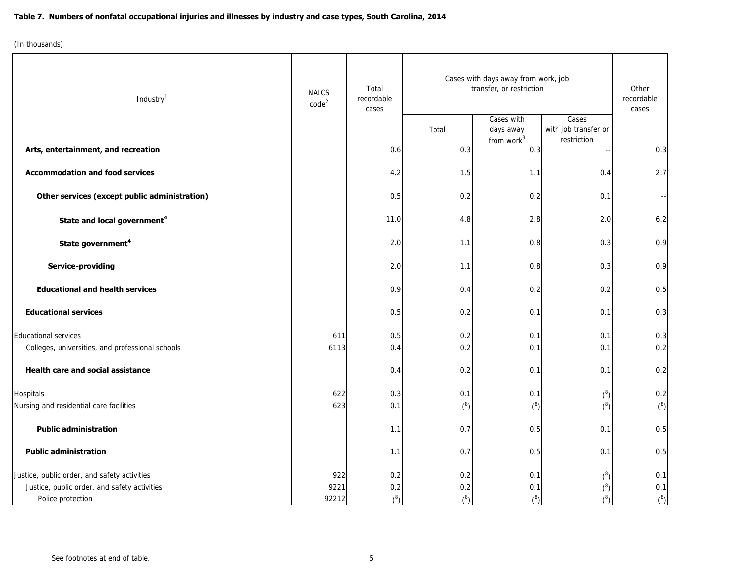| Industry <sup>1</sup>                            | <b>NAICS</b><br>$code^2$ | Total<br>recordable<br>cases | Cases with days away from work, job<br>transfer, or restriction |                                                   |                                              | Other<br>recordable<br>cases |
|--------------------------------------------------|--------------------------|------------------------------|-----------------------------------------------------------------|---------------------------------------------------|----------------------------------------------|------------------------------|
|                                                  |                          |                              | Total                                                           | Cases with<br>days away<br>from work <sup>3</sup> | Cases<br>with job transfer or<br>restriction |                              |
| Arts, entertainment, and recreation              |                          | 0.6                          | 0.3                                                             | 0.3                                               |                                              | 0.3                          |
| <b>Accommodation and food services</b>           |                          | 4.2                          | 1.5                                                             | 1.1                                               | 0.4                                          | 2.7                          |
| Other services (except public administration)    |                          | 0.5                          | 0.2                                                             | 0.2                                               | 0.1                                          |                              |
| State and local government <sup>4</sup>          |                          | 11.0                         | 4.8                                                             | 2.8                                               | 2.0                                          | 6.2                          |
| State government <sup>4</sup>                    |                          | 2.0                          | 1.1                                                             | 0.8                                               | 0.3                                          | 0.9                          |
| <b>Service-providing</b>                         |                          | 2.0                          | 1.1                                                             | 0.8                                               | 0.3                                          | 0.9                          |
| <b>Educational and health services</b>           |                          | 0.9                          | 0.4                                                             | 0.2                                               | 0.2                                          | 0.5                          |
| <b>Educational services</b>                      |                          | 0.5                          | 0.2                                                             | 0.1                                               | 0.1                                          | 0.3                          |
| <b>Educational services</b>                      | 611                      | 0.5                          | 0.2                                                             | 0.1                                               | 0.1                                          | 0.3                          |
| Colleges, universities, and professional schools | 6113                     | 0.4                          | 0.2                                                             | 0.1                                               | 0.1                                          | 0.2                          |
| Health care and social assistance                |                          | 0.4                          | 0.2                                                             | 0.1                                               | 0.1                                          | 0.2                          |
| Hospitals                                        | 622                      | 0.3                          | 0.1                                                             | 0.1                                               | ${^{8}}$                                     | 0.2                          |
| Nursing and residential care facilities          | 623                      | 0.1                          | ${^{8}}$                                                        | (8)                                               | ${8 \choose 0}$                              | ${8}$                        |
| <b>Public administration</b>                     |                          | 1.1                          | 0.7                                                             | 0.5                                               | 0.1                                          | 0.5                          |
| <b>Public administration</b>                     |                          | 1.1                          | 0.7                                                             | 0.5                                               | 0.1                                          | 0.5                          |
| Justice, public order, and safety activities     | 922                      | 0.2                          | 0.2                                                             | 0.1                                               | ${^{8}}$                                     | 0.1                          |
| Justice, public order, and safety activities     | 9221                     | 0.2                          | 0.2                                                             | 0.1                                               | $(^8)$                                       | 0.1                          |
| Police protection                                | 92212                    | ${8 \choose 0}$              | ${8 \choose 0}$                                                 | ${8 \choose 0}$                                   | $\binom{8}{1}$                               | ${8 \choose 0}$              |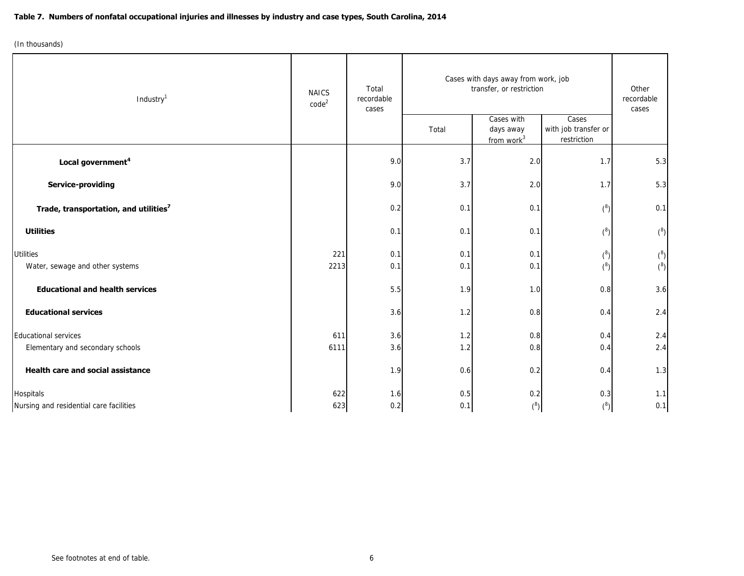| Industry <sup>1</sup>                                | <b>NAICS</b><br>code <sup>2</sup> | Total<br>recordable<br>cases | Cases with days away from work, job<br>transfer, or restriction |                                                   |                                              | Other<br>recordable<br>cases       |
|------------------------------------------------------|-----------------------------------|------------------------------|-----------------------------------------------------------------|---------------------------------------------------|----------------------------------------------|------------------------------------|
|                                                      |                                   |                              | Total                                                           | Cases with<br>days away<br>from work <sup>3</sup> | Cases<br>with job transfer or<br>restriction |                                    |
| Local government <sup>4</sup>                        |                                   | 9.0                          | 3.7                                                             | 2.0                                               | 1.7                                          | 5.3                                |
| Service-providing                                    |                                   | 9.0                          | 3.7                                                             | 2.0                                               | 1.7                                          | 5.3                                |
| Trade, transportation, and utilities <sup>7</sup>    |                                   | 0.2                          | 0.1                                                             | 0.1                                               | ${8 \choose 0}$                              | 0.1                                |
| <b>Utilities</b>                                     |                                   | 0.1                          | 0.1                                                             | 0.1                                               | ${8 \choose 0}$                              | ${8 \choose 0}$                    |
| <b>Utilities</b><br>Water, sewage and other systems  | 221<br>2213                       | 0.1<br>0.1                   | 0.1<br>0.1                                                      | 0.1<br>0.1                                        | ${^{8}}$<br>${8 \choose 0}$                  | ${8 \choose 0}$<br>${8 \choose 0}$ |
| <b>Educational and health services</b>               |                                   | 5.5                          | 1.9                                                             | 1.0                                               | 0.8                                          | 3.6                                |
| <b>Educational services</b>                          |                                   | 3.6                          | 1.2                                                             | 0.8                                               | 0.4                                          | 2.4                                |
| Educational services                                 | 611                               | 3.6                          | 1.2                                                             | 0.8                                               | 0.4                                          | 2.4                                |
| Elementary and secondary schools                     | 6111                              | 3.6                          | 1.2                                                             | 0.8                                               | 0.4                                          | 2.4                                |
| Health care and social assistance                    |                                   | 1.9                          | 0.6                                                             | 0.2                                               | 0.4                                          | 1.3                                |
| Hospitals<br>Nursing and residential care facilities | 622<br>623                        | 1.6<br>0.2                   | 0.5<br>0.1                                                      | 0.2<br>${^{8}}$                                   | 0.3<br>(8)                                   | 1.1<br>0.1                         |